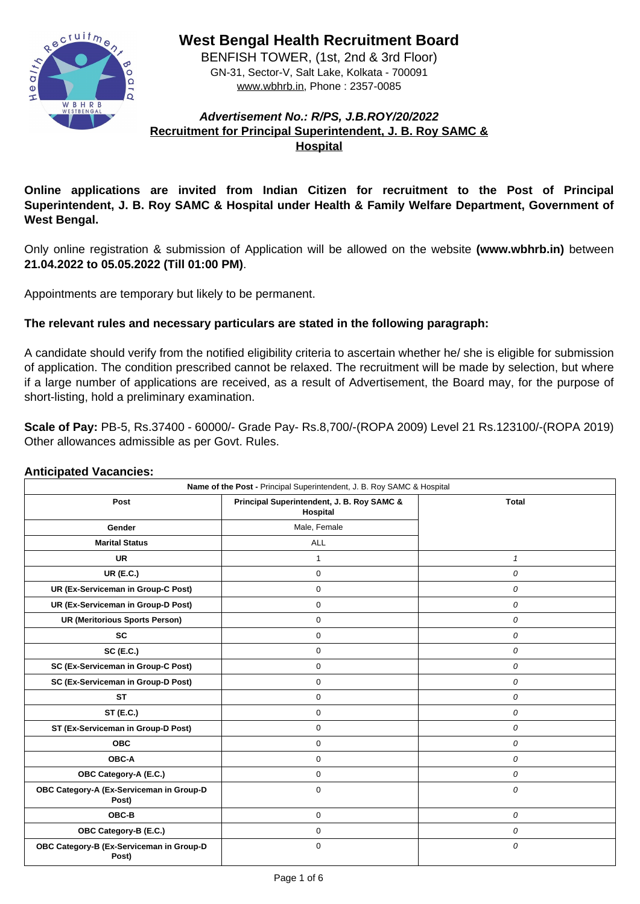

**West Bengal Health Recruitment Board**

BENFISH TOWER, (1st, 2nd & 3rd Floor) GN-31, Sector-V, Salt Lake, Kolkata - 700091 www.wbhrb.in, Phone : 2357-0085

# **Advertisement No.: R/PS, J.B.ROY/20/2022 Recruitment for Principal Superintendent, J. B. Roy SAMC & Hospital**

**Online applications are invited from Indian Citizen for recruitment to the Post of Principal Superintendent, J. B. Roy SAMC & Hospital under Health & Family Welfare Department, Government of West Bengal.**

Only online registration & submission of Application will be allowed on the website **(www.wbhrb.in)** between **21.04.2022 to 05.05.2022 (Till 01:00 PM)**.

Appointments are temporary but likely to be permanent.

# **The relevant rules and necessary particulars are stated in the following paragraph:**

A candidate should verify from the notified eligibility criteria to ascertain whether he/ she is eligible for submission of application. The condition prescribed cannot be relaxed. The recruitment will be made by selection, but where if a large number of applications are received, as a result of Advertisement, the Board may, for the purpose of short-listing, hold a preliminary examination.

**Scale of Pay:** PB-5, Rs.37400 - 60000/- Grade Pay- Rs.8,700/-(ROPA 2009) Level 21 Rs.123100/-(ROPA 2019) Other allowances admissible as per Govt. Rules.

## **Anticipated Vacancies:**

| Name of the Post - Principal Superintendent, J. B. Roy SAMC & Hospital |                                                                          |                  |  |  |
|------------------------------------------------------------------------|--------------------------------------------------------------------------|------------------|--|--|
| <b>Post</b>                                                            | <b>Principal Superintendent, J. B. Roy SAMC &amp;</b><br><b>Hospital</b> | <b>Total</b>     |  |  |
| <b>Gender</b>                                                          | Male, Female                                                             |                  |  |  |
| <b>Marital Status</b>                                                  | <b>ALL</b>                                                               |                  |  |  |
| <b>UR</b>                                                              |                                                                          |                  |  |  |
| <b>UR (E.C.)</b>                                                       | $\overline{0}$                                                           | $\boldsymbol{0}$ |  |  |
| <b>UR (Ex-Serviceman in Group-C Post)</b>                              | $\overline{0}$                                                           | $\boldsymbol{O}$ |  |  |
| <b>UR (Ex-Serviceman in Group-D Post)</b>                              | 0                                                                        | $\boldsymbol{0}$ |  |  |
| <b>UR (Meritorious Sports Person)</b>                                  | $\overline{0}$                                                           | $\boldsymbol{0}$ |  |  |
| <b>SC</b>                                                              | 0                                                                        | $\overline{O}$   |  |  |
| <b>SC (E.C.)</b>                                                       | $\overline{0}$                                                           | $\boldsymbol{0}$ |  |  |
| <b>SC (Ex-Serviceman in Group-C Post)</b>                              | $\overline{0}$                                                           | $\overline{O}$   |  |  |
| <b>SC (Ex-Serviceman in Group-D Post)</b>                              | $\overline{0}$                                                           | $\overline{O}$   |  |  |
| <b>ST</b>                                                              | $\overline{0}$                                                           | $\boldsymbol{0}$ |  |  |
| <b>ST (E.C.)</b>                                                       | $\boldsymbol{0}$                                                         | $\boldsymbol{O}$ |  |  |
| <b>ST (Ex-Serviceman in Group-D Post)</b>                              | $\overline{0}$                                                           | $\overline{O}$   |  |  |
| <b>OBC</b>                                                             | $\overline{0}$                                                           | $\boldsymbol{O}$ |  |  |
| <b>OBC-A</b>                                                           | $\overline{0}$                                                           | $\boldsymbol{0}$ |  |  |
| <b>OBC Category-A (E.C.)</b>                                           | 0                                                                        | $\boldsymbol{O}$ |  |  |
| OBC Category-A (Ex-Serviceman in Group-D<br>Post)                      | $\overline{0}$                                                           | $\boldsymbol{0}$ |  |  |
| OBC-B                                                                  | $\overline{0}$                                                           | $\boldsymbol{0}$ |  |  |
| <b>OBC Category-B (E.C.)</b>                                           | $\overline{0}$                                                           | $\overline{O}$   |  |  |
| OBC Category-B (Ex-Serviceman in Group-D<br>Post)                      | $\overline{0}$                                                           | $\overline{O}$   |  |  |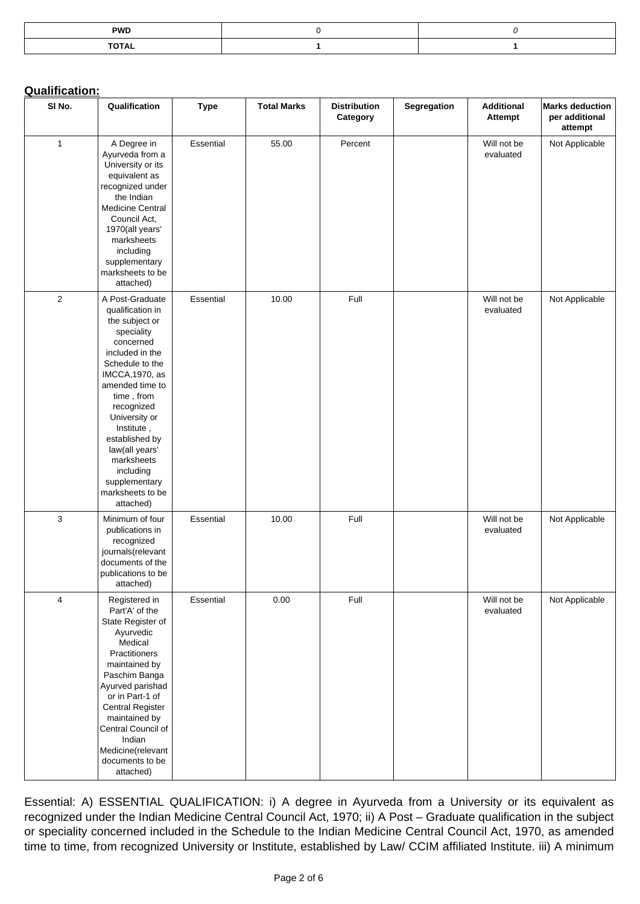| <b>PWD</b>   |  |
|--------------|--|
| <b>TOTAL</b> |  |

### **Qualification:**

| SI No.         | Qualification                                                                                                                                                                                                                                                                                                                            | <b>Type</b>      | <b>Total Marks</b> | <b>Distribution</b><br>Category | <b>Segregation</b> | <b>Additional</b><br><b>Attempt</b> | <b>Marks deduction</b><br>per additional<br>attempt |
|----------------|------------------------------------------------------------------------------------------------------------------------------------------------------------------------------------------------------------------------------------------------------------------------------------------------------------------------------------------|------------------|--------------------|---------------------------------|--------------------|-------------------------------------|-----------------------------------------------------|
| 1              | A Degree in<br>Ayurveda from a<br>University or its<br>equivalent as<br>recognized under<br>the Indian<br><b>Medicine Central</b><br>Council Act,<br>1970(all years'<br>marksheets<br>including<br>supplementary<br>marksheets to be<br>attached)                                                                                        | <b>Essential</b> | 55.00              | Percent                         |                    | Will not be<br>evaluated            | Not Applicable                                      |
| $\overline{2}$ | A Post-Graduate<br>qualification in<br>the subject or<br>speciality<br>concerned<br>included in the<br>Schedule to the<br>IMCCA, 1970, as<br>amended time to<br>time, from<br>recognized<br>University or<br>Institute,<br>established by<br>law(all years'<br>marksheets<br>including<br>supplementary<br>marksheets to be<br>attached) | <b>Essential</b> | 10.00              | Full                            |                    | Will not be<br>evaluated            | Not Applicable                                      |
| $\mathbf{3}$   | Minimum of four<br>publications in<br>recognized<br>journals(relevant<br>documents of the<br>publications to be<br>attached)                                                                                                                                                                                                             | <b>Essential</b> | 10.00              | Full                            |                    | Will not be<br>evaluated            | <b>Not Applicable</b>                               |
| $\overline{4}$ | Registered in<br>Part'A' of the<br>State Register of<br>Ayurvedic<br><b>Medical</b><br><b>Practitioners</b><br>maintained by<br>Paschim Banga<br>Ayurved parishad<br>or in Part-1 of<br><b>Central Register</b><br>maintained by<br><b>Central Council of</b><br>Indian<br>Medicine(relevant<br>documents to be<br>attached)             | <b>Essential</b> | 0.00               | Full                            |                    | Will not be<br>evaluated            | Not Applicable                                      |

Essential: A) ESSENTIAL QUALIFICATION: i) A degree in Ayurveda from a University or its equivalent as recognized under the Indian Medicine Central Council Act, 1970; ii) A Post – Graduate qualification in the subject or speciality concerned included in the Schedule to the Indian Medicine Central Council Act, 1970, as amended time to time, from recognized University or Institute, established by Law/ CCIM affiliated Institute. iii) A minimum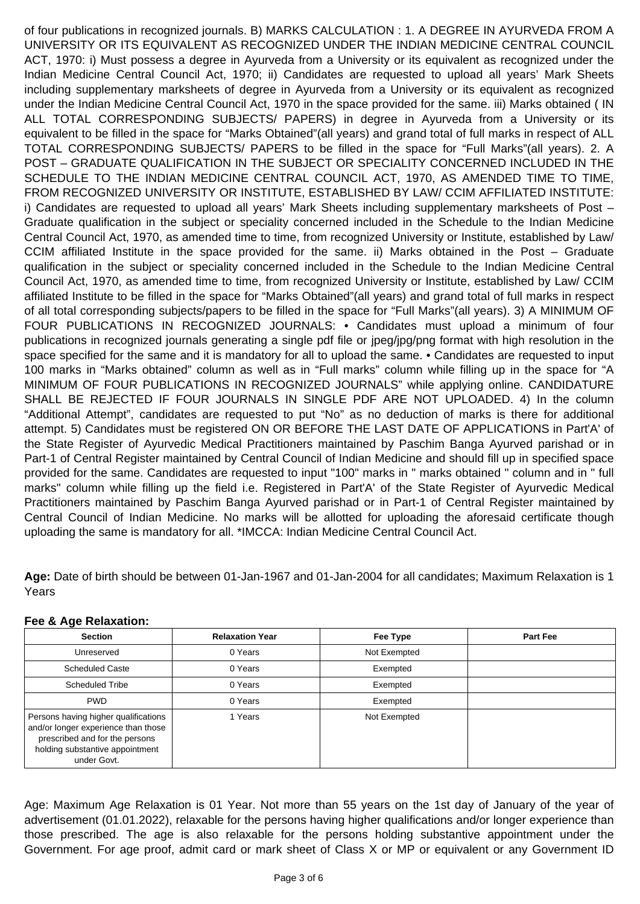of four publications in recognized journals. B) MARKS CALCULATION : 1. A DEGREE IN AYURVEDA FROM A UNIVERSITY OR ITS EQUIVALENT AS RECOGNIZED UNDER THE INDIAN MEDICINE CENTRAL COUNCIL ACT, 1970: i) Must possess a degree in Ayurveda from a University or its equivalent as recognized under the Indian Medicine Central Council Act, 1970; ii) Candidates are requested to upload all years' Mark Sheets including supplementary marksheets of degree in Ayurveda from a University or its equivalent as recognized under the Indian Medicine Central Council Act, 1970 in the space provided for the same. iii) Marks obtained ( IN ALL TOTAL CORRESPONDING SUBJECTS/ PAPERS) in degree in Ayurveda from a University or its equivalent to be filled in the space for "Marks Obtained"(all years) and grand total of full marks in respect of ALL TOTAL CORRESPONDING SUBJECTS/ PAPERS to be filled in the space for "Full Marks"(all years). 2. A POST – GRADUATE QUALIFICATION IN THE SUBJECT OR SPECIALITY CONCERNED INCLUDED IN THE SCHEDULE TO THE INDIAN MEDICINE CENTRAL COUNCIL ACT, 1970, AS AMENDED TIME TO TIME, FROM RECOGNIZED UNIVERSITY OR INSTITUTE, ESTABLISHED BY LAW/ CCIM AFFILIATED INSTITUTE: i) Candidates are requested to upload all years' Mark Sheets including supplementary marksheets of Post – Graduate qualification in the subject or speciality concerned included in the Schedule to the Indian Medicine Central Council Act, 1970, as amended time to time, from recognized University or Institute, established by Law/ CCIM affiliated Institute in the space provided for the same. ii) Marks obtained in the Post – Graduate qualification in the subject or speciality concerned included in the Schedule to the Indian Medicine Central Council Act, 1970, as amended time to time, from recognized University or Institute, established by Law/ CCIM affiliated Institute to be filled in the space for "Marks Obtained"(all years) and grand total of full marks in respect of all total corresponding subjects/papers to be filled in the space for "Full Marks"(all years). 3) A MINIMUM OF FOUR PUBLICATIONS IN RECOGNIZED JOURNALS: • Candidates must upload a minimum of four publications in recognized journals generating a single pdf file or jpeg/jpg/png format with high resolution in the space specified for the same and it is mandatory for all to upload the same. • Candidates are requested to input 100 marks in "Marks obtained" column as well as in "Full marks" column while filling up in the space for "A MINIMUM OF FOUR PUBLICATIONS IN RECOGNIZED JOURNALS" while applying online. CANDIDATURE SHALL BE REJECTED IF FOUR JOURNALS IN SINGLE PDF ARE NOT UPLOADED. 4) In the column "Additional Attempt", candidates are requested to put "No" as no deduction of marks is there for additional attempt. 5) Candidates must be registered ON OR BEFORE THE LAST DATE OF APPLICATIONS in Part'A' of the State Register of Ayurvedic Medical Practitioners maintained by Paschim Banga Ayurved parishad or in Part-1 of Central Register maintained by Central Council of Indian Medicine and should fill up in specified space provided for the same. Candidates are requested to input "100" marks in " marks obtained " column and in " full

marks" column while filling up the field i.e. Registered in Part'A' of the State Register of Ayurvedic Medical Practitioners maintained by Paschim Banga Ayurved parishad or in Part-1 of Central Register maintained by Central Council of Indian Medicine. No marks will be allotted for uploading the aforesaid certificate though uploading the same is mandatory for all. \*IMCCA: Indian Medicine Central Council Act.

**Age:** Date of birth should be between 01-Jan-1967 and 01-Jan-2004 for all candidates; Maximum Relaxation is 1 Years

**Fee & Age Relaxation:**

| <b>Section</b>                                                                                                                                                  | <b>Relaxation Year</b> | <b>Fee Type</b> | <b>Part Fee</b> |
|-----------------------------------------------------------------------------------------------------------------------------------------------------------------|------------------------|-----------------|-----------------|
| Unreserved                                                                                                                                                      | 0 Years                | Not Exempted    |                 |
| <b>Scheduled Caste</b>                                                                                                                                          | 0 Years                | Exempted        |                 |
| <b>Scheduled Tribe</b>                                                                                                                                          | 0 Years                | Exempted        |                 |
| <b>PWD</b>                                                                                                                                                      | 0 Years                | Exempted        |                 |
| Persons having higher qualifications<br>and/or longer experience than those<br>prescribed and for the persons<br>holding substantive appointment<br>under Govt. | 1 Years                | Not Exempted    |                 |

Age: Maximum Age Relaxation is 01 Year. Not more than 55 years on the 1st day of January of the year of advertisement (01.01.2022), relaxable for the persons having higher qualifications and/or longer experience than those prescribed. The age is also relaxable for the persons holding substantive appointment under the Government. For age proof, admit card or mark sheet of Class X or MP or equivalent or any Government ID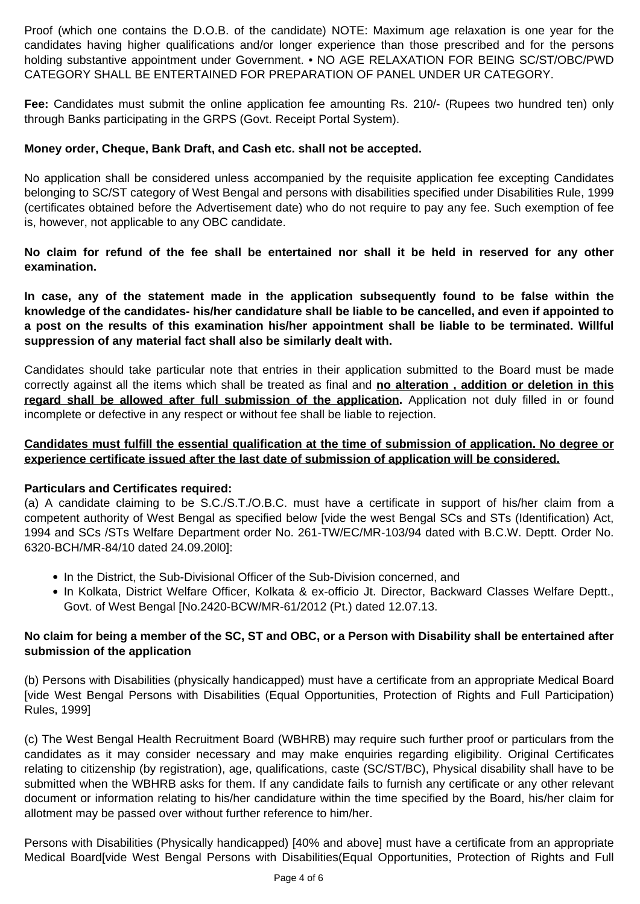Proof (which one contains the D.O.B. of the candidate) NOTE: Maximum age relaxation is one year for the candidates having higher qualifications and/or longer experience than those prescribed and for the persons holding substantive appointment under Government. • NO AGE RELAXATION FOR BEING SC/ST/OBC/PWD CATEGORY SHALL BE ENTERTAINED FOR PREPARATION OF PANEL UNDER UR CATEGORY.

**Fee:** Candidates must submit the online application fee amounting Rs. 210/- (Rupees two hundred ten) only through Banks participating in the GRPS (Govt. Receipt Portal System).

## **Money order, Cheque, Bank Draft, and Cash etc. shall not be accepted.**

No application shall be considered unless accompanied by the requisite application fee excepting Candidates belonging to SC/ST category of West Bengal and persons with disabilities specified under Disabilities Rule, 1999 (certificates obtained before the Advertisement date) who do not require to pay any fee. Such exemption of fee is, however, not applicable to any OBC candidate.

**No claim for refund of the fee shall be entertained nor shall it be held in reserved for any other examination.**

**In case, any of the statement made in the application subsequently found to be false within the knowledge of the candidates- his/her candidature shall be liable to be cancelled, and even if appointed to a post on the results of this examination his/her appointment shall be liable to be terminated. Willful suppression of any material fact shall also be similarly dealt with.**

- In the District, the Sub-Divisional Officer of the Sub-Division concerned, and
- In Kolkata, District Welfare Officer, Kolkata & ex-officio Jt. Director, Backward Classes Welfare Deptt., Govt. of West Bengal [No.2420-BCW/MR-61/2012 (Pt.) dated 12.07.13.

Candidates should take particular note that entries in their application submitted to the Board must be made correctly against all the items which shall be treated as final and **no alteration , addition or deletion in this** regard shall be allowed after full submission of the application. Application not duly filled in or found incomplete or defective in any respect or without fee shall be liable to rejection.

**Candidates must fulfill the essential qualification at the time of submission of application. No degree or experience certificate issued after the last date of submission of application will be considered.**

#### **Particulars and Certificates required:**

(a) A candidate claiming to be S.C./S.T./O.B.C. must have a certificate in support of his/her claim from a competent authority of West Bengal as specified below [vide the west Bengal SCs and STs (Identification) Act, 1994 and SCs /STs Welfare Department order No. 261-TW/EC/MR-103/94 dated with B.C.W. Deptt. Order No. 6320-BCH/MR-84/10 dated 24.09.20l0]:

# **No claim for being a member of the SC, ST and OBC, or a Person with Disability shall be entertained after submission of the application**

(b) Persons with Disabilities (physically handicapped) must have a certificate from an appropriate Medical Board [vide West Bengal Persons with Disabilities (Equal Opportunities, Protection of Rights and Full Participation) Rules, 1999]

(c) The West Bengal Health Recruitment Board (WBHRB) may require such further proof or particulars from the candidates as it may consider necessary and may make enquiries regarding eligibility. Original Certificates relating to citizenship (by registration), age, qualifications, caste (SC/ST/BC), Physical disability shall have to be submitted when the WBHRB asks for them. If any candidate fails to furnish any certificate or any other relevant document or information relating to his/her candidature within the time specified by the Board, his/her claim for allotment may be passed over without further reference to him/her.

Persons with Disabilities (Physically handicapped) [40% and above] must have a certificate from an appropriate Medical Board[vide West Bengal Persons with Disabilities(Equal Opportunities, Protection of Rights and Full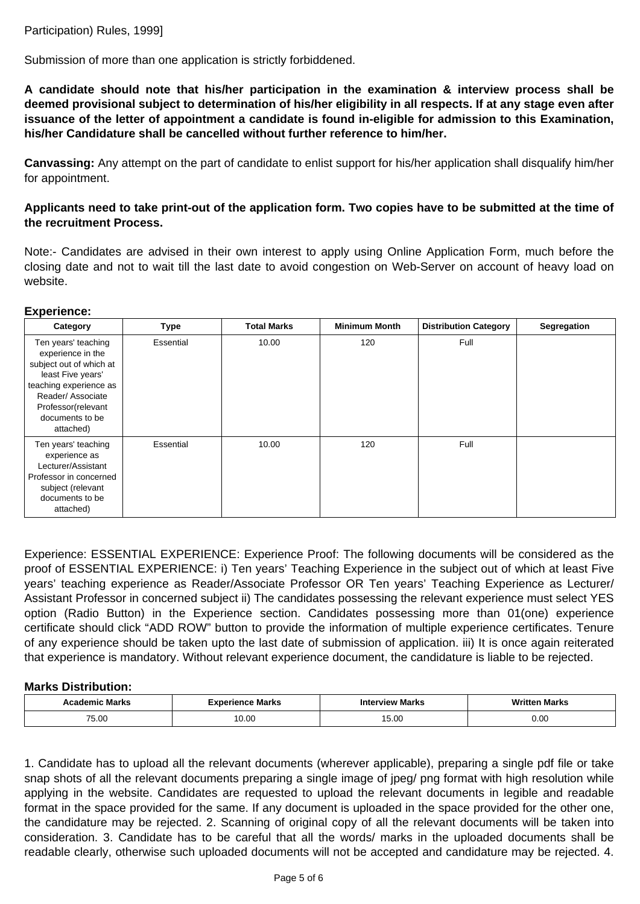Participation) Rules, 1999]

Submission of more than one application is strictly forbiddened.

**A candidate should note that his/her participation in the examination & interview process shall be deemed provisional subject to determination of his/her eligibility in all respects. If at any stage even after issuance of the letter of appointment a candidate is found in-eligible for admission to this Examination, his/her Candidature shall be cancelled without further reference to him/her.**

**Canvassing:** Any attempt on the part of candidate to enlist support for his/her application shall disqualify him/her for appointment.

## **Applicants need to take print-out of the application form. Two copies have to be submitted at the time of the recruitment Process.**

Note:- Candidates are advised in their own interest to apply using Online Application Form, much before the closing date and not to wait till the last date to avoid congestion on Web-Server on account of heavy load on website.

### **Experience:**

| <b>Category</b>                                                                                                                                                                                     | <b>Type</b>      | <b>Total Marks</b> | <b>Minimum Month</b> | <b>Distribution Category</b> | <b>Segregation</b> |
|-----------------------------------------------------------------------------------------------------------------------------------------------------------------------------------------------------|------------------|--------------------|----------------------|------------------------------|--------------------|
| Ten years' teaching<br>experience in the<br>subject out of which at<br>least Five years'<br>teaching experience as<br><b>Reader/Associate</b><br>Professor(relevant<br>documents to be<br>attached) | <b>Essential</b> | 10.00              | 120                  | Full                         |                    |
| Ten years' teaching<br>experience as<br>Lecturer/Assistant<br>Professor in concerned<br>subject (relevant<br>documents to be<br>attached)                                                           | <b>Essential</b> | 10.00              | 120                  | Full                         |                    |

Experience: ESSENTIAL EXPERIENCE: Experience Proof: The following documents will be considered as the proof of ESSENTIAL EXPERIENCE: i) Ten years' Teaching Experience in the subject out of which at least Five years' teaching experience as Reader/Associate Professor OR Ten years' Teaching Experience as Lecturer/ Assistant Professor in concerned subject ii) The candidates possessing the relevant experience must select YES option (Radio Button) in the Experience section. Candidates possessing more than 01(one) experience certificate should click "ADD ROW" button to provide the information of multiple experience certificates. Tenure of any experience should be taken upto the last date of submission of application. iii) It is once again reiterated that experience is mandatory. Without relevant experience document, the candidature is liable to be rejected.

### **Marks Distribution:**

| <b>Academic Marks</b> | Experience Marks | <b>Interview Marks</b> | <b>Written Marks</b> |
|-----------------------|------------------|------------------------|----------------------|
| 75.00                 | 10.00            | 5.00                   | 0.00                 |
|                       |                  |                        |                      |

1. Candidate has to upload all the relevant documents (wherever applicable), preparing a single pdf file or take snap shots of all the relevant documents preparing a single image of jpeg/ png format with high resolution while applying in the website. Candidates are requested to upload the relevant documents in legible and readable format in the space provided for the same. If any document is uploaded in the space provided for the other one, the candidature may be rejected. 2. Scanning of original copy of all the relevant documents will be taken into consideration. 3. Candidate has to be careful that all the words/ marks in the uploaded documents shall be readable clearly, otherwise such uploaded documents will not be accepted and candidature may be rejected. 4.